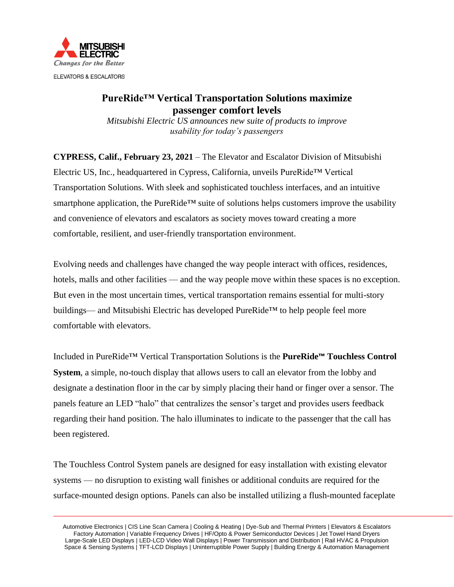

## **PureRide™ Vertical Transportation Solutions maximize passenger comfort levels**

*Mitsubishi Electric US announces new suite of products to improve usability for today's passengers*

**CYPRESS, Calif., February 23, 2021** – The Elevator and Escalator Division of Mitsubishi Electric US, Inc., headquartered in Cypress, California, unveils PureRide™ Vertical Transportation Solutions. With sleek and sophisticated touchless interfaces, and an intuitive smartphone application, the PureRide™ suite of solutions helps customers improve the usability and convenience of elevators and escalators as society moves toward creating a more comfortable, resilient, and user-friendly transportation environment.

Evolving needs and challenges have changed the way people interact with offices, residences, hotels, malls and other facilities — and the way people move within these spaces is no exception. But even in the most uncertain times, vertical transportation remains essential for multi-story buildings— and Mitsubishi Electric has developed PureRide™ to help people feel more comfortable with elevators.

Included in PureRide™ Vertical Transportation Solutions is the **PureRide™ Touchless Control System**, a simple, no-touch display that allows users to call an elevator from the lobby and designate a destination floor in the car by simply placing their hand or finger over a sensor. The panels feature an LED "halo" that centralizes the sensor's target and provides users feedback regarding their hand position. The halo illuminates to indicate to the passenger that the call has been registered.

The Touchless Control System panels are designed for easy installation with existing elevator systems — no disruption to existing wall finishes or additional conduits are required for the surface-mounted design options. Panels can also be installed utilizing a flush-mounted faceplate

 Automotive Electronics | CIS Line Scan Camera | Cooling & Heating | Dye-Sub and Thermal Printers | Elevators & Escalators Factory Automation | Variable Frequency Drives | HF/Opto & Power Semiconductor Devices | Jet Towel Hand Dryers Large-Scale LED Displays | LED-LCD Video Wall Displays | Power Transmission and Distribution | Rail HVAC & Propulsion Space & Sensing Systems | TFT-LCD Displays | Uninterruptible Power Supply | Building Energy & Automation Management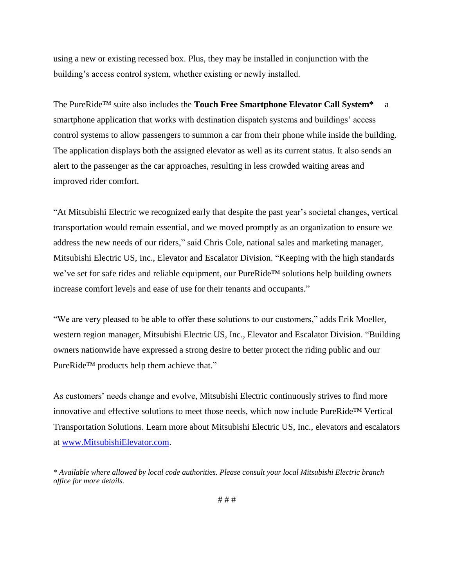using a new or existing recessed box. Plus, they may be installed in conjunction with the building's access control system, whether existing or newly installed.

The PureRide™ suite also includes the **Touch Free Smartphone Elevator Call System\***— a smartphone application that works with destination dispatch systems and buildings' access control systems to allow passengers to summon a car from their phone while inside the building. The application displays both the assigned elevator as well as its current status. It also sends an alert to the passenger as the car approaches, resulting in less crowded waiting areas and improved rider comfort.

"At Mitsubishi Electric we recognized early that despite the past year's societal changes, vertical transportation would remain essential, and we moved promptly as an organization to ensure we address the new needs of our riders," said Chris Cole, national sales and marketing manager, Mitsubishi Electric US, Inc., Elevator and Escalator Division. "Keeping with the high standards we've set for safe rides and reliable equipment, our PureRide™ solutions help building owners increase comfort levels and ease of use for their tenants and occupants."

"We are very pleased to be able to offer these solutions to our customers," adds Erik Moeller, western region manager, Mitsubishi Electric US, Inc., Elevator and Escalator Division. "Building owners nationwide have expressed a strong desire to better protect the riding public and our PureRide™ products help them achieve that."

As customers' needs change and evolve, Mitsubishi Electric continuously strives to find more innovative and effective solutions to meet those needs, which now include PureRide™ Vertical Transportation Solutions. Learn more about Mitsubishi Electric US, Inc., elevators and escalators at [www.MitsubishiElevator.com.](http://www.mitsubishielevator.com/)

*<sup>\*</sup> Available where allowed by local code authorities. Please consult your local Mitsubishi Electric branch office for more details.*